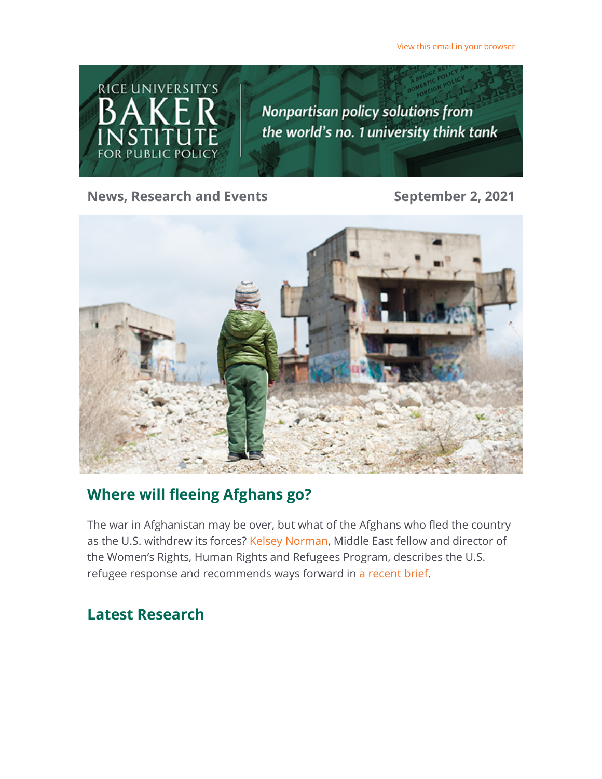[View this email in your browser](https://riceconnect.rice.edu/emailviewonwebpage.aspx?erid=753a7133-0f4f-4a83-80a6-6823580e454d&trid=753a7133-0f4f-4a83-80a6-6823580e454d)



**News, Research and Events September 2, 2021** 



## **Where will fleeing Afghans go?**

The war in Afghanistan may be over, but what of the Afghans who fled the country as the U.S. withdrew its forces? [Kelsey Norman,](https://riceconnect.rice.edu/page.redir?target=https%3a%2f%2fwww.bakerinstitute.org%2fexperts%2fkelsey-norman%2f&srcid=245669&srctid=1&erid=753a7133-0f4f-4a83-80a6-6823580e454d&trid=753a7133-0f4f-4a83-80a6-6823580e454d) Middle East fellow and director of the Women's Rights, Human Rights and Refugees Program, describes the U.S. refugee response and recommends ways forward in [a recent brief.](https://riceconnect.rice.edu/page.redir?target=https%3a%2f%2fwww.bakerinstitute.org%2ffiles%2f17676%2f&srcid=245669&srctid=1&erid=753a7133-0f4f-4a83-80a6-6823580e454d&trid=753a7133-0f4f-4a83-80a6-6823580e454d)

# **Latest Research**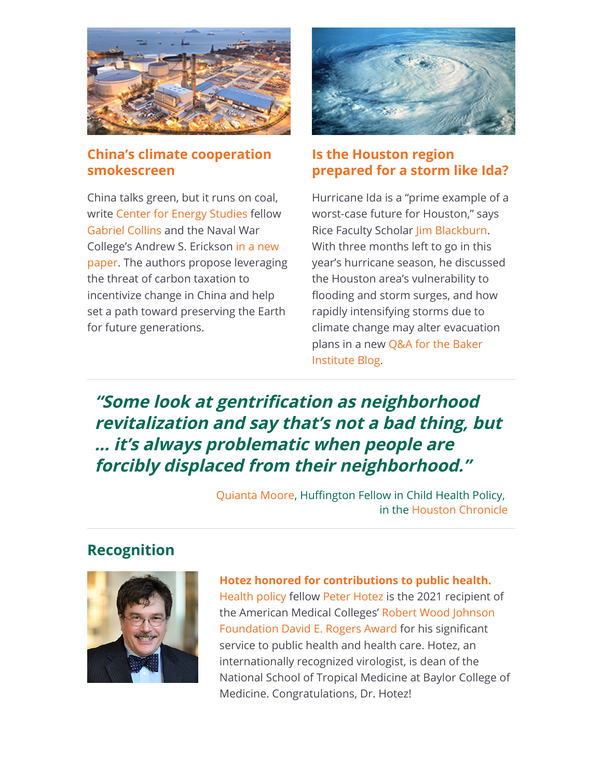

#### **[China's climate cooperation](https://riceconnect.rice.edu/page.redir?target=https%3a%2f%2fwww.bakerinstitute.org%2fmedia%2ffiles%2ffiles%2f0f95cafa%2fces-pub-china-climate-083121.pdf&srcid=245669&srctid=1&erid=753a7133-0f4f-4a83-80a6-6823580e454d&trid=753a7133-0f4f-4a83-80a6-6823580e454d) smokescreen**

China talks green, but it runs on coal, write [Center for Energy Studies](https://riceconnect.rice.edu/page.redir?target=https%3a%2f%2fwww.bakerinstitute.org%2fcenter-for-energy-studies%2f&srcid=245669&srctid=1&erid=753a7133-0f4f-4a83-80a6-6823580e454d&trid=753a7133-0f4f-4a83-80a6-6823580e454d) fellow [Gabriel Collins](https://riceconnect.rice.edu/page.redir?target=https%3a%2f%2fwww.bakerinstitute.org%2fexperts%2fgabe-collins%2f&srcid=245669&srctid=1&erid=753a7133-0f4f-4a83-80a6-6823580e454d&trid=753a7133-0f4f-4a83-80a6-6823580e454d) and the Naval War College's Andrew S. Erickson in a new [paper. The authors propose leveragin](https://riceconnect.rice.edu/page.redir?target=https%3a%2f%2fwww.bakerinstitute.org%2ffiles%2f17688%2f&srcid=245669&srctid=1&erid=753a7133-0f4f-4a83-80a6-6823580e454d&trid=753a7133-0f4f-4a83-80a6-6823580e454d)g the threat of carbon taxation to incentivize change in China and help set a path toward preserving the Earth for future generations.



#### **Is the Houston region [prepared for a storm like Ida?](https://riceconnect.rice.edu/page.redir?target=https%3a%2f%2fblog.bakerinstitute.org%2f2021%2f09%2f01%2fqa-is-the-houston-region-prepared-for-a-hurricane-like-ida%2f&srcid=245669&srctid=1&erid=753a7133-0f4f-4a83-80a6-6823580e454d&trid=753a7133-0f4f-4a83-80a6-6823580e454d)**

Hurricane Ida is a "prime example of a worst-case future for Houston," says Rice Faculty Scholar [Jim Blackburn.](https://riceconnect.rice.edu/page.redir?target=https%3a%2f%2fwww.bakerinstitute.org%2fexperts%2fjim-blackburn%2f&srcid=245669&srctid=1&erid=753a7133-0f4f-4a83-80a6-6823580e454d&trid=753a7133-0f4f-4a83-80a6-6823580e454d) With three months left to go in this year's hurricane season, he discussed the Houston area's vulnerability to flooding and storm surges, and how rapidly intensifying storms due to climate change may alter evacuation [plans in a new Q&A for the Baker](https://riceconnect.rice.edu/page.redir?target=https%3a%2f%2fbakerinstituteblog.blogs.rice.edu%2f2021%2f09%2f01%2fqa-is-the-houston-region-prepared-for-a-hurricane-like-ida%2f&srcid=245669&srctid=1&erid=753a7133-0f4f-4a83-80a6-6823580e454d&trid=753a7133-0f4f-4a83-80a6-6823580e454d) Institute Blog.

# **"Some look at gentrification as neighborhood revitalization and say that's not a bad thing, but ... it's always problematic when people are forcibly displaced from their neighborhood."**

[Quianta Moore,](https://riceconnect.rice.edu/page.redir?target=https%3a%2f%2fwww.bakerinstitute.org%2fexperts%2fquianta-moore%2f&srcid=245669&srctid=1&erid=753a7133-0f4f-4a83-80a6-6823580e454d&trid=753a7133-0f4f-4a83-80a6-6823580e454d) Huffington Fellow in Child Health Policy, in the [Houston Chronicle](https://riceconnect.rice.edu/page.redir?target=https%3a%2f%2fwww.houstonchronicle.com%2fnews%2fhouston-texas%2fhouston%2farticle%2fPeople-of-color-drove-Houston-s-growth-but-16417032.php&srcid=245669&srctid=1&erid=753a7133-0f4f-4a83-80a6-6823580e454d&trid=753a7133-0f4f-4a83-80a6-6823580e454d)

#### **Recognition**



**[Hotez honored for contributions to public health.](https://riceconnect.rice.edu/page.redir?target=https%3a%2f%2fwww.bcm.edu%2fnews%2fhotez-recognized-with-robert-wood-johnson-foundation-david-e-rogers-award&srcid=245669&srctid=1&erid=753a7133-0f4f-4a83-80a6-6823580e454d&trid=753a7133-0f4f-4a83-80a6-6823580e454d)** [Health policy](https://riceconnect.rice.edu/page.redir?target=https%3a%2f%2fwww.bakerinstitute.org%2fcenter-for-health-and-biosciences%2f&srcid=245669&srctid=1&erid=753a7133-0f4f-4a83-80a6-6823580e454d&trid=753a7133-0f4f-4a83-80a6-6823580e454d) fellow [Peter Hotez](https://riceconnect.rice.edu/page.redir?target=https%3a%2f%2fwww.bakerinstitute.org%2fexperts%2fpeter-j-hotez%2f&srcid=245669&srctid=1&erid=753a7133-0f4f-4a83-80a6-6823580e454d&trid=753a7133-0f4f-4a83-80a6-6823580e454d) is the 2021 recipient of [the American Medical Colleges' Robert Wood Johnson](https://riceconnect.rice.edu/page.redir?target=https%3a%2f%2fwww.aamc.org%2fwhat-we-do%2faamc-awards%2frogers&srcid=245669&srctid=1&erid=753a7133-0f4f-4a83-80a6-6823580e454d&trid=753a7133-0f4f-4a83-80a6-6823580e454d) Foundation David E. Rogers Award for his significant service to public health and health care. Hotez, an internationally recognized virologist, is dean of the National School of Tropical Medicine at Baylor College of Medicine. Congratulations, Dr. Hotez!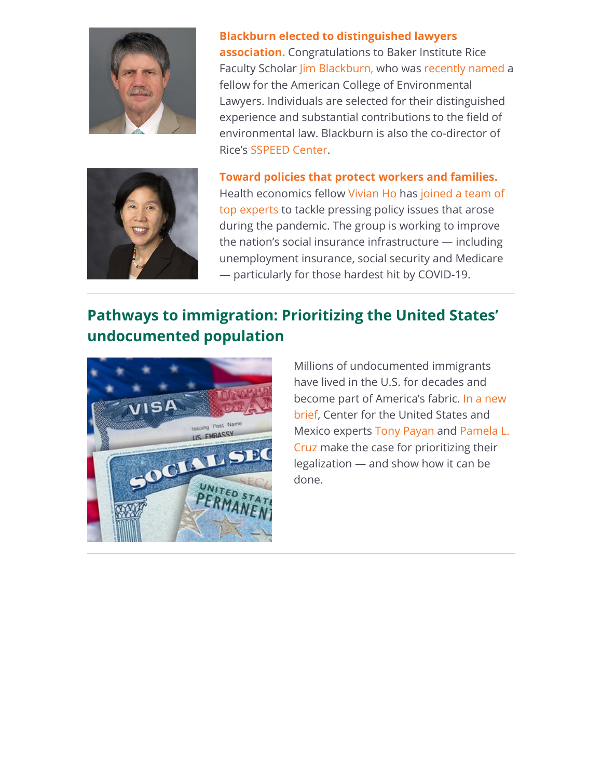

**[Blackburn elected to distinguished lawyers](https://riceconnect.rice.edu/page.redir?target=https%3a%2f%2fwww.bakerinstitute.org%2fmedia%2ffiles%2ffiles%2f76939f38%2fblackburn.pdf&srcid=245669&srctid=1&erid=753a7133-0f4f-4a83-80a6-6823580e454d&trid=753a7133-0f4f-4a83-80a6-6823580e454d) association.** Congratulations to Baker Institute Rice Faculty Scholar [Jim Blackburn,](https://riceconnect.rice.edu/page.redir?target=https%3a%2f%2fwww.bakerinstitute.org%2fexperts%2fjim-blackburn%2f&srcid=245669&srctid=1&erid=753a7133-0f4f-4a83-80a6-6823580e454d&trid=753a7133-0f4f-4a83-80a6-6823580e454d) who was [recently named a](https://riceconnect.rice.edu/page.redir?target=https%3a%2f%2fwww.bakerinstitute.org%2fmedia%2ffiles%2ffiles%2f76939f38%2fblackburn.pdf&srcid=245669&srctid=1&erid=753a7133-0f4f-4a83-80a6-6823580e454d&trid=753a7133-0f4f-4a83-80a6-6823580e454d) fellow for the American College of Environmental Lawyers. Individuals are selected for their distinguished experience and substantial contributions to the field of environmental law. Blackburn is also the co-director of Rice's [SSPEED Center](https://riceconnect.rice.edu/page.redir?target=https%3a%2f%2fwww.sspeed.rice.edu%2f&srcid=245669&srctid=1&erid=753a7133-0f4f-4a83-80a6-6823580e454d&trid=753a7133-0f4f-4a83-80a6-6823580e454d).



**[Toward policies that protect workers and families.](https://riceconnect.rice.edu/page.redir?target=https%3a%2f%2fwww.nasi.org%2fpressrelease%2fcovid-19-task-force-policy-translation-working-group%2f&srcid=245669&srctid=1&erid=753a7133-0f4f-4a83-80a6-6823580e454d&trid=753a7133-0f4f-4a83-80a6-6823580e454d)** [Health economics fellow V](https://riceconnect.rice.edu/page.redir?target=https%3a%2f%2fwww.nasi.org%2fpressrelease%2fcovid-19-task-force-policy-translation-working-group%2f&srcid=245669&srctid=1&erid=753a7133-0f4f-4a83-80a6-6823580e454d&trid=753a7133-0f4f-4a83-80a6-6823580e454d)[ivian H](https://riceconnect.rice.edu/page.redir?target=https%3a%2f%2fwww.bakerinstitute.org%2fexperts%2fvivian-ho%2f&srcid=245669&srctid=1&erid=753a7133-0f4f-4a83-80a6-6823580e454d&trid=753a7133-0f4f-4a83-80a6-6823580e454d)[o has joined a team of](https://riceconnect.rice.edu/page.redir?target=https%3a%2f%2fwww.nasi.org%2fpressrelease%2fcovid-19-task-force-policy-translation-working-group%2f&srcid=245669&srctid=1&erid=753a7133-0f4f-4a83-80a6-6823580e454d&trid=753a7133-0f4f-4a83-80a6-6823580e454d) top experts to tackle pressing policy issues that arose during the pandemic. The group is working to improve the nation's social insurance infrastructure — including unemployment insurance, social security and Medicare — particularly for those hardest hit by COVID-19.

# **Pathways to immigration: Prioritizing the United States' undocumented population**



Millions of undocumented immigrants have lived in the U.S. for decades and [become part of America's fabric. In a new](https://riceconnect.rice.edu/page.redir?target=https%3a%2f%2fwww.bakerinstitute.org%2ffiles%2f17684%2f&srcid=245669&srctid=1&erid=753a7133-0f4f-4a83-80a6-6823580e454d&trid=753a7133-0f4f-4a83-80a6-6823580e454d) brief, Center for the United States and [Mexico experts T](https://riceconnect.rice.edu/page.redir?target=https%3a%2f%2fwww.bakerinstitute.org%2fexperts%2fpamela-lizette-cruz%2f&srcid=245669&srctid=1&erid=753a7133-0f4f-4a83-80a6-6823580e454d&trid=753a7133-0f4f-4a83-80a6-6823580e454d)[ony Payan](https://riceconnect.rice.edu/page.redir?target=https%3a%2f%2fwww.bakerinstitute.org%2fexperts%2ftony-payan%2f&srcid=245669&srctid=1&erid=753a7133-0f4f-4a83-80a6-6823580e454d&trid=753a7133-0f4f-4a83-80a6-6823580e454d) [and Pamela L.](https://riceconnect.rice.edu/page.redir?target=https%3a%2f%2fwww.bakerinstitute.org%2fexperts%2fpamela-lizette-cruz%2f&srcid=245669&srctid=1&erid=753a7133-0f4f-4a83-80a6-6823580e454d&trid=753a7133-0f4f-4a83-80a6-6823580e454d) Cruz make the case for prioritizing their legalization — and show how it can be done.